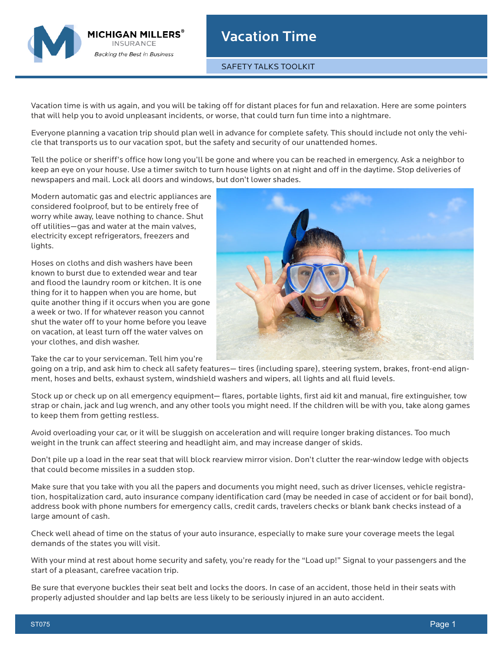

SAFETY TALKS TOOLKIT

Vacation time is with us again, and you will be taking off for distant places for fun and relaxation. Here are some pointers that will help you to avoid unpleasant incidents, or worse, that could turn fun time into a nightmare.

Everyone planning a vacation trip should plan well in advance for complete safety. This should include not only the vehicle that transports us to our vacation spot, but the safety and security of our unattended homes.

Tell the police or sheriff's office how long you'll be gone and where you can be reached in emergency. Ask a neighbor to keep an eye on your house. Use a timer switch to turn house lights on at night and off in the daytime. Stop deliveries of newspapers and mail. Lock all doors and windows, but don't lower shades.

Modern automatic gas and electric appliances are considered foolproof, but to be entirely free of worry while away, leave nothing to chance. Shut off utilities—gas and water at the main valves, electricity except refrigerators, freezers and lights.

MICHIGAN MILLERS $^\circ$ **INSURANCE Backing the Best in Business** 

Hoses on cloths and dish washers have been known to burst due to extended wear and tear and flood the laundry room or kitchen. It is one thing for it to happen when you are home, but quite another thing if it occurs when you are gone a week or two. If for whatever reason you cannot shut the water off to your home before you leave on vacation, at least turn off the water valves on your clothes, and dish washer.

Take the car to your serviceman. Tell him you're



going on a trip, and ask him to check all safety features— tires (including spare), steering system, brakes, front-end alignment, hoses and belts, exhaust system, windshield washers and wipers, all lights and all fluid levels.

Stock up or check up on all emergency equipment— flares, portable lights, first aid kit and manual, fire extinguisher, tow strap or chain, jack and lug wrench, and any other tools you might need. If the children will be with you, take along games to keep them from getting restless.

Avoid overloading your car, or it will be sluggish on acceleration and will require longer braking distances. Too much weight in the trunk can affect steering and headlight aim, and may increase danger of skids.

Don't pile up a load in the rear seat that will block rearview mirror vision. Don't clutter the rear-window ledge with objects that could become missiles in a sudden stop.

Make sure that you take with you all the papers and documents you might need, such as driver licenses, vehicle registration, hospitalization card, auto insurance company identification card (may be needed in case of accident or for bail bond), address book with phone numbers for emergency calls, credit cards, travelers checks or blank bank checks instead of a large amount of cash.

Check well ahead of time on the status of your auto insurance, especially to make sure your coverage meets the legal demands of the states you will visit.

With your mind at rest about home security and safety, you're ready for the "Load up!" Signal to your passengers and the start of a pleasant, carefree vacation trip.

Be sure that everyone buckles their seat belt and locks the doors. In case of an accident, those held in their seats with properly adjusted shoulder and lap belts are less likely to be seriously injured in an auto accident.